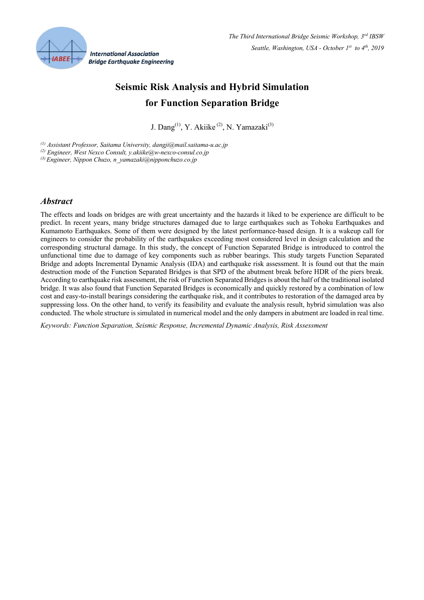

# **Seismic Risk Analysis and Hybrid Simulation for Function Separation Bridge**

J. Dang<sup>(1)</sup>, Y. Akiike<sup>(2)</sup>, N. Yamazaki<sup>(3)</sup>

*(1) Assistant Professor, Saitama University, dangji@mail.saitama-u.ac.jp*

*(2) Engineer, West Nexco Consult, y.akiike@w-nexco-consul.co.jp*

*(3) Engineer, Nippon Chuzo, n\_yamazaki@nipponchuzo.co.jp*

#### *Abstract*

The effects and loads on bridges are with great uncertainty and the hazards it liked to be experience are difficult to be predict. In recent years, many bridge structures damaged due to large earthquakes such as Tohoku Earthquakes and Kumamoto Earthquakes. Some of them were designed by the latest performance-based design. It is a wakeup call for engineers to consider the probability of the earthquakes exceeding most considered level in design calculation and the corresponding structural damage. In this study, the concept of Function Separated Bridge is introduced to control the unfunctional time due to damage of key components such as rubber bearings. This study targets Function Separated Bridge and adopts Incremental Dynamic Analysis (IDA) and earthquake risk assessment. It is found out that the main destruction mode of the Function Separated Bridges is that SPD of the abutment break before HDR of the piers break. According to earthquake risk assessment, the risk of Function Separated Bridges is about the half of the traditional isolated bridge. It was also found that Function Separated Bridges is economically and quickly restored by a combination of low cost and easy-to-install bearings considering the earthquake risk, and it contributes to restoration of the damaged area by suppressing loss. On the other hand, to verify its feasibility and evaluate the analysis result, hybrid simulation was also conducted. The whole structure is simulated in numerical model and the only dampers in abutment are loaded in real time.

*Keywords: Function Separation, Seismic Response, Incremental Dynamic Analysis, Risk Assessment*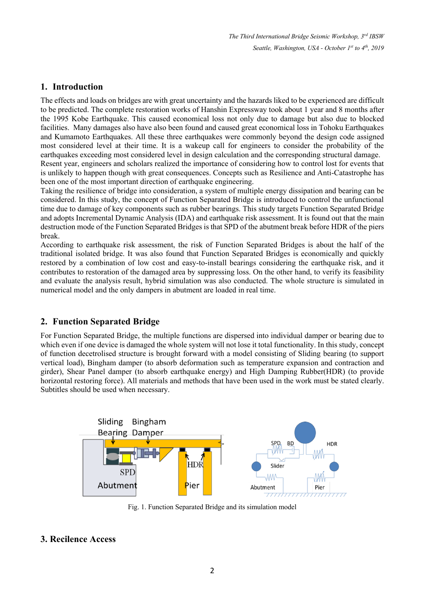*The Third International Bridge Seismic Workshop, 3rd IBSW Seattle, Washington, USA - October 1st to 4th, 2019*

### **1. Introduction**

The effects and loads on bridges are with great uncertainty and the hazards liked to be experienced are difficult to be predicted. The complete restoration works of Hanshin Expressway took about 1 year and 8 months after the 1995 Kobe Earthquake. This caused economical loss not only due to damage but also due to blocked facilities. Many damages also have also been found and caused great economical loss in Tohoku Earthquakes and Kumamoto Earthquakes. All these three earthquakes were commonly beyond the design code assigned most considered level at their time. It is a wakeup call for engineers to consider the probability of the earthquakes exceeding most considered level in design calculation and the corresponding structural damage. Resent year, engineers and scholars realized the importance of considering how to control lost for events that is unlikely to happen though with great consequences. Concepts such as Resilience and Anti-Catastrophe has been one of the most important direction of earthquake engineering.

Taking the resilience of bridge into consideration, a system of multiple energy dissipation and bearing can be considered. In this study, the concept of Function Separated Bridge is introduced to control the unfunctional time due to damage of key components such as rubber bearings. This study targets Function Separated Bridge and adopts Incremental Dynamic Analysis (IDA) and earthquake risk assessment. It is found out that the main destruction mode of the Function Separated Bridges is that SPD of the abutment break before HDR of the piers break.

According to earthquake risk assessment, the risk of Function Separated Bridges is about the half of the traditional isolated bridge. It was also found that Function Separated Bridges is economically and quickly restored by a combination of low cost and easy-to-install bearings considering the earthquake risk, and it contributes to restoration of the damaged area by suppressing loss. On the other hand, to verify its feasibility and evaluate the analysis result, hybrid simulation was also conducted. The whole structure is simulated in numerical model and the only dampers in abutment are loaded in real time.

## **2. Function Separated Bridge**

For Function Separated Bridge, the multiple functions are dispersed into individual damper or bearing due to which even if one device is damaged the whole system will not lose it total functionality. In this study, concept of function decetrolised structure is brought forward with a model consisting of Sliding bearing (to support vertical load), Bingham damper (to absorb deformation such as temperature expansion and contraction and girder), Shear Panel damper (to absorb earthquake energy) and High Damping Rubber(HDR) (to provide horizontal restoring force). All materials and methods that have been used in the work must be stated clearly. Subtitles should be used when necessary.



Fig. 1. Function Separated Bridge and its simulation model

#### **3. Recilence Access**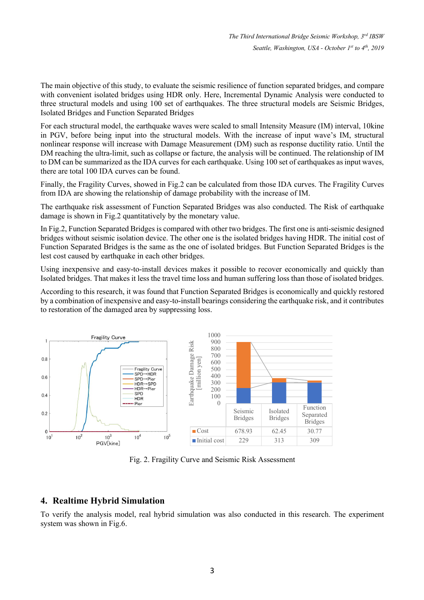The main objective of this study, to evaluate the seismic resilience of function separated bridges, and compare with convenient isolated bridges using HDR only. Here, Incremental Dynamic Analysis were conducted to three structural models and using 100 set of earthquakes. The three structural models are Seismic Bridges, Isolated Bridges and Function Separated Bridges

For each structural model, the earthquake waves were scaled to small Intensity Measure (IM) interval, 10kine in PGV, before being input into the structural models. With the increase of input wave's IM, structural nonlinear response will increase with Damage Measurement (DM) such as response ductility ratio. Until the DM reaching the ultra-limit, such as collapse or facture, the analysis will be continued. The relationship of IM to DM can be summarized as the IDA curves for each earthquake. Using 100 set of earthquakes as input waves, there are total 100 IDA curves can be found.

Finally, the Fragility Curves, showed in Fig.2 can be calculated from those IDA curves. The Fragility Curves from IDA are showing the relationship of damage probability with the increase of IM.

The earthquake risk assessment of Function Separated Bridges was also conducted. The Risk of earthquake damage is shown in Fig.2 quantitatively by the monetary value.

In Fig.2, Function Separated Bridges is compared with other two bridges. The first one is anti-seismic designed bridges without seismic isolation device. The other one is the isolated bridges having HDR. The initial cost of Function Separated Bridges is the same as the one of isolated bridges. But Function Separated Bridges is the lest cost caused by earthquake in each other bridges.

Using inexpensive and easy-to-install devices makes it possible to recover economically and quickly than Isolated bridges. That makes it less the travel time loss and human suffering loss than those of isolated bridges.

According to this research, it was found that Function Separated Bridges is economically and quickly restored by a combination of inexpensive and easy-to-install bearings considering the earthquake risk, and it contributes to restoration of the damaged area by suppressing loss.



Fig. 2. Fragility Curve and Seismic Risk Assessment

#### **4. Realtime Hybrid Simulation**

To verify the analysis model, real hybrid simulation was also conducted in this research. The experiment system was shown in Fig.6.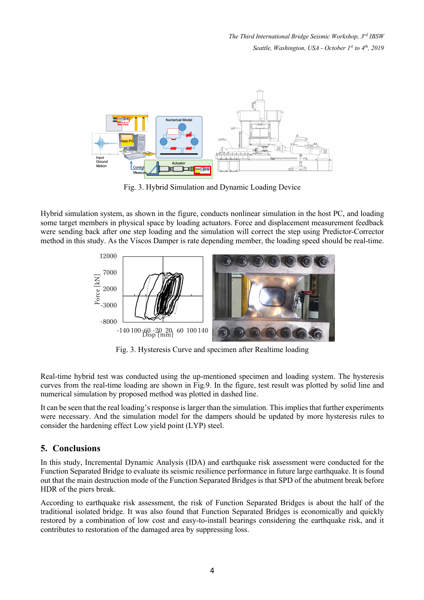*The Third International Bridge Seismic Workshop, 3rd IBSW Seattle, Washington, USA - October 1st to 4th, 2019*



Fig. 3. Hybrid Simulation and Dynamic Loading Device

Hybrid simulation system, as shown in the figure, conducts nonlinear simulation in the host PC, and loading some target members in physical space by loading actuators. Force and displacement measurement feedback were sending back after one step loading and the simulation will correct the step using Predictor-Corrector method in this study. As the Viscos Damper is rate depending member, the loading speed should be real-time.



Fig. 3. Hysteresis Curve and specimen after Realtime loading

Real-time hybrid test was conducted using the up-mentioned specimen and loading system. The hysteresis curves from the real-time loading are shown in Fig.9. In the figure, test result was plotted by solid line and numerical simulation by proposed method was plotted in dashed line.

It can be seen that the real loading's response is larger than the simulation. This implies that further experiments were necessary. And the simulation model for the dampers should be updated by more hysteresis rules to consider the hardening effect Low yield point (LYP) steel.

#### **5. Conclusions**

In this study, Incremental Dynamic Analysis (IDA) and earthquake risk assessment were conducted for the Function Separated Bridge to evaluate its seismic resilience performance in future large earthquake. It is found out that the main destruction mode of the Function Separated Bridges is that SPD of the abutment break before HDR of the piers break.

According to earthquake risk assessment, the risk of Function Separated Bridges is about the half of the traditional isolated bridge. It was also found that Function Separated Bridges is economically and quickly restored by a combination of low cost and easy-to-install bearings considering the earthquake risk, and it contributes to restoration of the damaged area by suppressing loss.